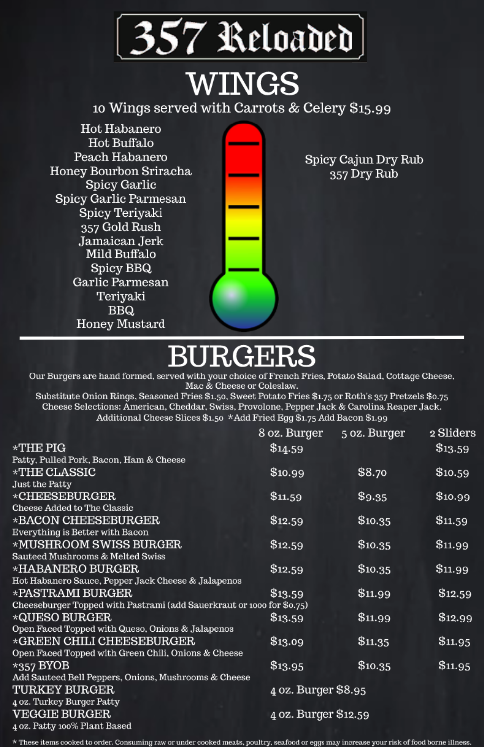

# **WINGS**

10 Wings served with Carrots & Celery \$15.99

Hot Habanero Hot Buffalo Peach Habanero Honey Bourbon Sriracha Spicy Garlic Spicy Garlic Parmesan Spicy Teriyaki 357 Gold Rush Jamaican Jerk Mild Buffalo Spicy BBQ Garlic Parmesan Teriyaki **BBQ** Honey Mustard

Spicy Cajun Dry Rub 357 Dry Rub

# **BURGEI**

Our Burgers are hand formed, served with your choice of French Fries, Potato Salad, Cottage Cheese, Mac & Cheese or Coleslaw.

Substitute Onion Rings, Seasoned Fries \$1.50, Sweet Potato Fries \$1.75 or Roth's 357 Pretzels \$0.75 Cheese Selections: American, Cheddar, Swiss, Provolone, Pepper Jack & Carolina Reaper Jack. Additional Cheese Slices \$1.50 \*Add Fried Egg \$1.75 Add Bacon \$1.99

|                                                                       | 8 oz. Burger         | 5 oz. Burger | 2 Sliders |  |
|-----------------------------------------------------------------------|----------------------|--------------|-----------|--|
| $\star$ THE PIG                                                       | \$14.59              |              | \$13.59   |  |
| Patty, Pulled Pork, Bacon, Ham & Cheese                               |                      |              |           |  |
| $\star$ THE CLASSIC                                                   | \$10.99              | \$8.70       | \$10.59   |  |
| Just the Patty                                                        |                      |              |           |  |
| *CHEESEBURGER                                                         | \$11.59              | \$9.35       | \$10.99   |  |
| Cheese Added to The Classic                                           |                      |              |           |  |
| *BACON CHEESEBURGER                                                   | \$12.59              | \$10.35      | \$11.59   |  |
| Everything is Better with Bacon                                       |                      |              |           |  |
| *MUSHROOM SWISS BURGER                                                | \$12.59              | \$10.35      | \$11.99   |  |
| Sauteed Mushrooms & Melted Swiss                                      |                      |              |           |  |
| *HABANERO BURGER                                                      | \$12.59              | \$10.35      | \$11.99   |  |
| Hot Habanero Sauce, Pepper Jack Cheese & Jalapenos                    |                      |              |           |  |
| *PASTRAMI BURGER                                                      | \$13.59              | \$11.99      | \$12.59   |  |
| Cheeseburger Topped with Pastrami (add Sauerkraut or 1000 for \$0.75) |                      |              |           |  |
| *QUESO BURGER                                                         | \$13.59              | \$11.99      | \$12.99   |  |
| Open Faced Topped with Queso, Onions & Jalapenos                      |                      |              |           |  |
| $\star$ GREEN CHILI CHEESEBURGER                                      | \$13.09              | \$11.35      | \$11.95   |  |
| Open Faced Topped with Green Chili, Onions & Cheese                   |                      |              |           |  |
| $*357 BYOB$                                                           | \$13.95              | \$10.35      | \$11.95   |  |
| Add Sauteed Bell Peppers, Onions, Mushrooms & Cheese                  |                      |              |           |  |
| <b>TURKEY BURGER</b>                                                  | 4 oz. Burger \$8.95  |              |           |  |
| 4 oz. Turkey Burger Patty                                             |                      |              |           |  |
| <b>VEGGIE BURGER</b>                                                  | 4 oz. Burger \$12.59 |              |           |  |
| 4 oz. Patty 100% Plant Based                                          |                      |              |           |  |

\* These items cooked to order. Consuming raw or under cooked meats, poultry, seafood or eggs may increase your risk of food borne illness.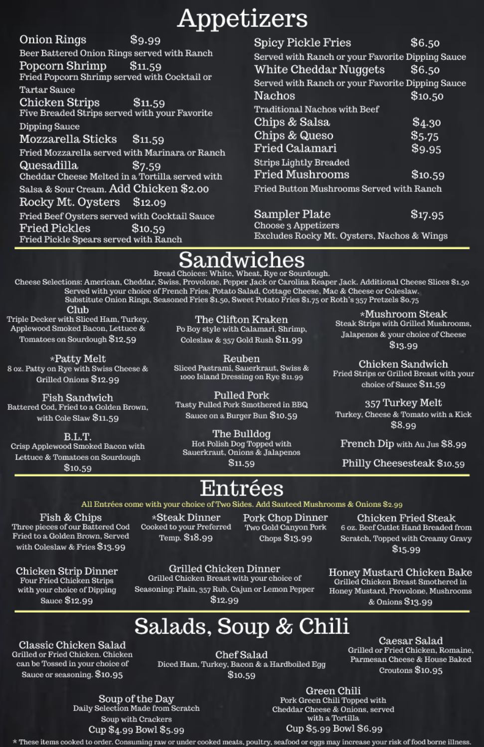# Appetizers

Onion Rings \$9.99 Beer Battered Onion Rings served with Ranch Popcorn Shrimp \$11.59 Fried Popcorn Shrimp served with Cocktail or Tartar Sauce Chicken Strips \$11.59 Five Breaded Strips served with your Favorite Dipping Sauce Mozzarella Sticks \$11.59 Fried Mozzarella served with Marinara or Ranch Quesadilla \$7.59 Cheddar Cheese Melted in a Tortilla served with Salsa & Sour Cream. Add Chicken \$2.00 Rocky Mt. Oysters \$12.09 Fried Beef Oysters served with Cocktail Sauce Fried Pickles \$10.59 Fried Pickle Spears served with Ranch

| Spicy Pickle Fries                               | \$6.50  |  |  |
|--------------------------------------------------|---------|--|--|
| Served with Ranch or your Favorite Dipping Sauce |         |  |  |
| White Cheddar Nuggets                            | \$6.50  |  |  |
| Served with Ranch or your Favorite Dipping Sauce |         |  |  |
| Nachos                                           | \$10.50 |  |  |
| Traditional Nachos with Beef                     |         |  |  |
| Chips & Salsa                                    | \$4.30  |  |  |
| Chips & Queso                                    | \$5.75  |  |  |
| Fried Calamari                                   | \$9.95  |  |  |
| <b>Strips Lightly Breaded</b>                    |         |  |  |
| Fried Mushrooms                                  | \$10.59 |  |  |
| Fried Button Mushrooms Served with Ranch         |         |  |  |
|                                                  |         |  |  |

\$17.95 Sampler Plate Choose 3 Appetizers Excludes Rocky Mt. Oysters, Nachos & Wings

## Sandwiches

Bread Choices: White, Wheat, Rye or Sourdough.

Cheese Selections: American, Cheddar, Swiss, Provolone, Pepper Jack or Carolina Reaper Jack. Additional Cheese Slices \$1.50 Served with your choice of French Fries, Potato Salad, Cottage Cheese, Mac & Cheese or Coleslaw. Substitute Onion Rings, Seasoned Fries \$1.50, Sweet Potato Fries \$1.75 or Roth's 357 Pretzels \$0.75

Club Triple Decker with Sliced Ham, Turkey, Applewood Smoked Bacon, Lettuce & Tomatoes on Sourdough \$12.59

\*Patty Melt 8 oz. Patty on Rye with Swiss Cheese & Grilled Onions \$12.99

Fish Sandwich Battered Cod, Fried to a Golden Brown, with Cole Slaw \$11.59

B.L.T. Crisp Applewood Smoked Bacon with Lettuce & Tomatoes on Sourdough \$10.59

The Clifton Kraken Po Boy style with Calamari, Shrimp, Coleslaw & 357 Gold Rush \$11.99

Reuben Sliced Pastrami, Sauerkraut, Swiss & 1000 Island Dressing on Rye \$11.99

Pulled Pork Tasty Pulled Pork Smothered in BBQ Sauce on a Burger Bun \$10.59

The Bulldog Hot Polish Dog Topped with Sauerkraut, Onions & Jalapenos

\$11.59

\*Mushroom Steak Steak Strips with Grilled Mushrooms,

Jalapenos & your choice of Cheese \$13.99

Chicken Sandwich Fried Strips or Grilled Breast with your choice of Sauce \$11.59

357 Turkey Melt Turkey, Cheese & Tomato with a Kick \$8.99

French Dip with Au Jus \$8.99

Philly Cheesesteak \$10.59

## Entrées

#### All Entrées come with your choice of Two Sides. Add Sauteed Mushrooms & Onions \$2.99

Fish & Chips Three pieces of our Battered Cod Fried to a Golden Brown, Served with Coleslaw & Fries \$13.99

\*Steak Dinner Cooked to your Preferred Temp. \$18.99

Pork Chop Dinner Two Gold Canyon Pork Chops \$13.99

Chicken Fried Steak 6 oz. Beef Cutlet Hand Breaded from Scratch, Topped with Creamy Gravy  $$15.99$ 

### **Chicken Strip Dinner**

Four Fried Chicken Strips with your choice of Dipping Sauce \$12.99

#### Grilled Chicken Dinner

Grilled Chicken Breast with your choice of Seasoning: Plain, 357 Rub, Cajun or Lemon Pepper \$12.99

#### Honey Mustard Chicken Bake

Grilled Chicken Breast Smothered in Honey Mustard, Provolone, Mushrooms & Onions \$13.99

## Salads, Soup & Chili

Classic Chicken Salad Grilled or Fried Chicken. Chicken can be Tossed in your choice of Sauce or seasoning. \$10.95

Chef Salad Diced Ham, Turkey, Bacon & a Hardboiled Egg \$10.59

Caesar Salad Grilled or Fried Chicken, Romaine, Parmesan Cheese & House Baked Croutons  $$10.95$ 

Soup of the Day Daily Selection Made from Scratch Soup with Crackers Cup \$4.99 Bowl \$5.99

#### Green Chili

Pork Green Chili Topped with Cheddar Cheese & Onions, served with a Tortilla Cup \$5.99 Bowl \$6.99

\* These items cooked to order. Consuming raw or under cooked meats, poultry, seafood or eggs may increase your risk of food borne illness.